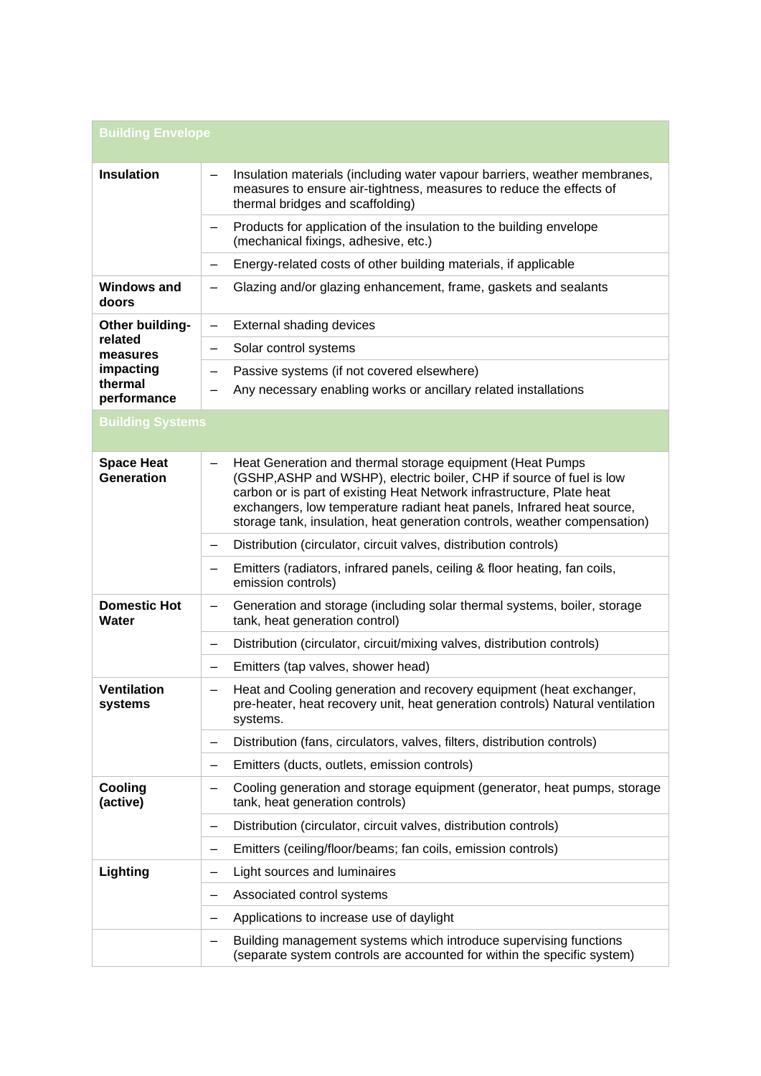| <b>Building Envelope</b>                                                      |                                                                                                                                                                                                                                                                                                                                                                   |  |
|-------------------------------------------------------------------------------|-------------------------------------------------------------------------------------------------------------------------------------------------------------------------------------------------------------------------------------------------------------------------------------------------------------------------------------------------------------------|--|
| <b>Insulation</b>                                                             | Insulation materials (including water vapour barriers, weather membranes,<br>measures to ensure air-tightness, measures to reduce the effects of<br>thermal bridges and scaffolding)                                                                                                                                                                              |  |
|                                                                               | Products for application of the insulation to the building envelope<br>(mechanical fixings, adhesive, etc.)                                                                                                                                                                                                                                                       |  |
|                                                                               | Energy-related costs of other building materials, if applicable<br>$\qquad \qquad$                                                                                                                                                                                                                                                                                |  |
| <b>Windows and</b><br>doors                                                   | Glazing and/or glazing enhancement, frame, gaskets and sealants                                                                                                                                                                                                                                                                                                   |  |
| Other building-<br>related<br>measures<br>impacting<br>thermal<br>performance | External shading devices<br>$\overline{\phantom{0}}$                                                                                                                                                                                                                                                                                                              |  |
|                                                                               | Solar control systems<br>—                                                                                                                                                                                                                                                                                                                                        |  |
|                                                                               | Passive systems (if not covered elsewhere)<br>$\overline{\phantom{m}}$                                                                                                                                                                                                                                                                                            |  |
|                                                                               | Any necessary enabling works or ancillary related installations                                                                                                                                                                                                                                                                                                   |  |
| <b>Building Systems</b>                                                       |                                                                                                                                                                                                                                                                                                                                                                   |  |
| <b>Space Heat</b><br><b>Generation</b>                                        | Heat Generation and thermal storage equipment (Heat Pumps<br>(GSHP, ASHP and WSHP), electric boiler, CHP if source of fuel is low<br>carbon or is part of existing Heat Network infrastructure, Plate heat<br>exchangers, low temperature radiant heat panels, Infrared heat source,<br>storage tank, insulation, heat generation controls, weather compensation) |  |
|                                                                               | Distribution (circulator, circuit valves, distribution controls)<br>—                                                                                                                                                                                                                                                                                             |  |
|                                                                               | Emitters (radiators, infrared panels, ceiling & floor heating, fan coils,<br>—<br>emission controls)                                                                                                                                                                                                                                                              |  |
| <b>Domestic Hot</b><br>Water                                                  | Generation and storage (including solar thermal systems, boiler, storage<br>tank, heat generation control)                                                                                                                                                                                                                                                        |  |
|                                                                               | Distribution (circulator, circuit/mixing valves, distribution controls)                                                                                                                                                                                                                                                                                           |  |
|                                                                               | Emitters (tap valves, shower head)                                                                                                                                                                                                                                                                                                                                |  |
| <b>Ventilation</b><br>systems                                                 | Heat and Cooling generation and recovery equipment (heat exchanger,<br>pre-heater, heat recovery unit, heat generation controls) Natural ventilation<br>systems.                                                                                                                                                                                                  |  |
|                                                                               | Distribution (fans, circulators, valves, filters, distribution controls)                                                                                                                                                                                                                                                                                          |  |
|                                                                               | Emitters (ducts, outlets, emission controls)                                                                                                                                                                                                                                                                                                                      |  |
| Cooling<br>(active)                                                           | Cooling generation and storage equipment (generator, heat pumps, storage<br>tank, heat generation controls)                                                                                                                                                                                                                                                       |  |
|                                                                               | Distribution (circulator, circuit valves, distribution controls)<br>$\qquad \qquad -$                                                                                                                                                                                                                                                                             |  |
|                                                                               | Emitters (ceiling/floor/beams; fan coils, emission controls)                                                                                                                                                                                                                                                                                                      |  |
| Lighting                                                                      | Light sources and luminaires<br>—                                                                                                                                                                                                                                                                                                                                 |  |
|                                                                               | Associated control systems                                                                                                                                                                                                                                                                                                                                        |  |
|                                                                               | Applications to increase use of daylight                                                                                                                                                                                                                                                                                                                          |  |
|                                                                               | Building management systems which introduce supervising functions<br>(separate system controls are accounted for within the specific system)                                                                                                                                                                                                                      |  |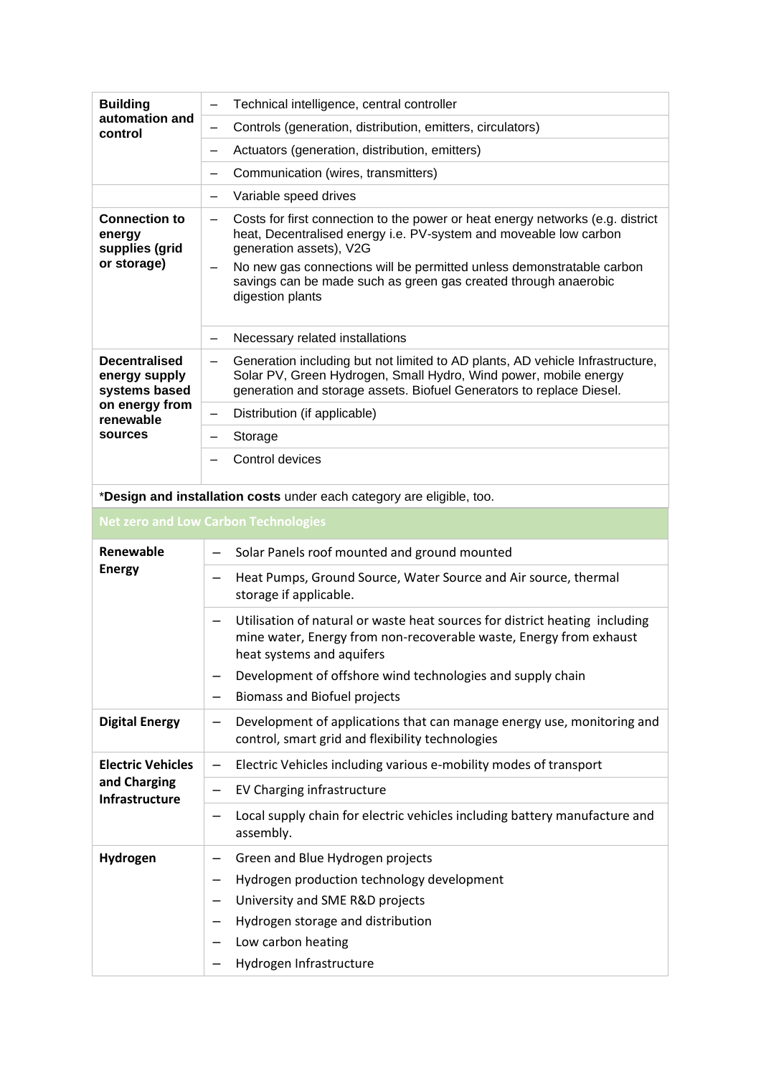| <b>Building</b><br>automation and<br>control                    | Technical intelligence, central controller<br>-                                                                                                                                                                                                                                                                                                                            |
|-----------------------------------------------------------------|----------------------------------------------------------------------------------------------------------------------------------------------------------------------------------------------------------------------------------------------------------------------------------------------------------------------------------------------------------------------------|
|                                                                 | Controls (generation, distribution, emitters, circulators)<br>—                                                                                                                                                                                                                                                                                                            |
|                                                                 | Actuators (generation, distribution, emitters)<br>—                                                                                                                                                                                                                                                                                                                        |
|                                                                 | Communication (wires, transmitters)<br>$\qquad \qquad -$                                                                                                                                                                                                                                                                                                                   |
|                                                                 | Variable speed drives<br>-                                                                                                                                                                                                                                                                                                                                                 |
| <b>Connection to</b><br>energy<br>supplies (grid<br>or storage) | Costs for first connection to the power or heat energy networks (e.g. district<br>$\overline{\phantom{0}}$<br>heat, Decentralised energy i.e. PV-system and moveable low carbon<br>generation assets), V2G<br>No new gas connections will be permitted unless demonstratable carbon<br>savings can be made such as green gas created through anaerobic<br>digestion plants |
|                                                                 | Necessary related installations<br>-                                                                                                                                                                                                                                                                                                                                       |
| <b>Decentralised</b><br>energy supply<br>systems based          | Generation including but not limited to AD plants, AD vehicle Infrastructure,<br>$\qquad \qquad -$<br>Solar PV, Green Hydrogen, Small Hydro, Wind power, mobile energy<br>generation and storage assets. Biofuel Generators to replace Diesel.                                                                                                                             |
| on energy from<br>renewable                                     | Distribution (if applicable)<br>—                                                                                                                                                                                                                                                                                                                                          |
| sources                                                         | Storage                                                                                                                                                                                                                                                                                                                                                                    |
|                                                                 | Control devices                                                                                                                                                                                                                                                                                                                                                            |
|                                                                 | *Design and installation costs under each category are eligible, too.                                                                                                                                                                                                                                                                                                      |
|                                                                 | <b>Net zero and Low Carbon Technologies</b>                                                                                                                                                                                                                                                                                                                                |
|                                                                 |                                                                                                                                                                                                                                                                                                                                                                            |
| Renewable                                                       | Solar Panels roof mounted and ground mounted<br>—                                                                                                                                                                                                                                                                                                                          |
| <b>Energy</b>                                                   | Heat Pumps, Ground Source, Water Source and Air source, thermal<br>-<br>storage if applicable.                                                                                                                                                                                                                                                                             |
|                                                                 | Utilisation of natural or waste heat sources for district heating including<br>mine water, Energy from non-recoverable waste, Energy from exhaust<br>heat systems and aquifers<br>Development of offshore wind technologies and supply chain                                                                                                                               |
|                                                                 | <b>Biomass and Biofuel projects</b>                                                                                                                                                                                                                                                                                                                                        |
| <b>Digital Energy</b>                                           | Development of applications that can manage energy use, monitoring and<br>—<br>control, smart grid and flexibility technologies                                                                                                                                                                                                                                            |
| <b>Electric Vehicles</b><br>and Charging<br>Infrastructure      | Electric Vehicles including various e-mobility modes of transport<br>—                                                                                                                                                                                                                                                                                                     |
|                                                                 | EV Charging infrastructure                                                                                                                                                                                                                                                                                                                                                 |
|                                                                 | Local supply chain for electric vehicles including battery manufacture and<br>-<br>assembly.                                                                                                                                                                                                                                                                               |
| Hydrogen                                                        | Green and Blue Hydrogen projects<br>Hydrogen production technology development<br>University and SME R&D projects<br>Hydrogen storage and distribution                                                                                                                                                                                                                     |